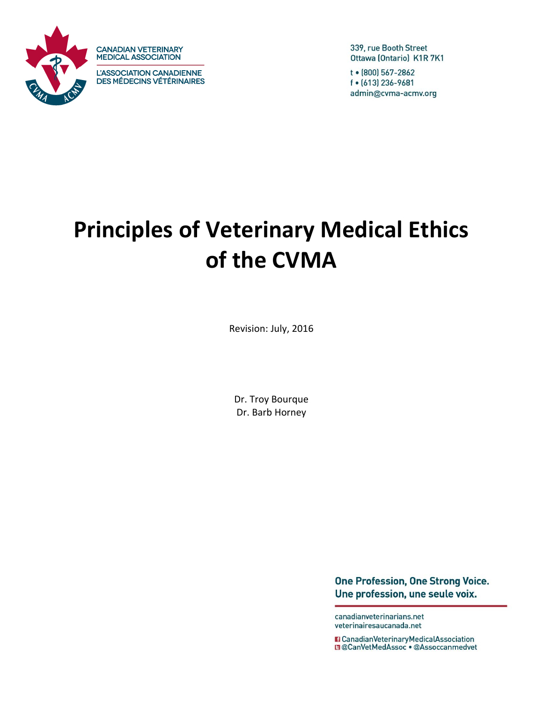

**CANADIAN VETERINARY MEDICAL ASSOCIATION** 

L'ASSOCIATION CANADIENNE **DES MÉDECINS VÉTÉRINAIRES**  339, rue Booth Street Ottawa (Ontario) K1R 7K1

t • (800) 567-2862 f • (613) 236-9681 admin@cvma-acmv.org

# **Principles of Veterinary Medical Ethics of the CVMA**

Revision: July, 2016

Dr. Troy Bourque Dr. Barb Horney

> **One Profession, One Strong Voice.** Une profession, une seule voix.

canadianveterinarians.net veterinairesaucanada.net

**El CanadianVeterinaryMedicalAssociation E** @CanVetMedAssoc . @Assoccanmedvet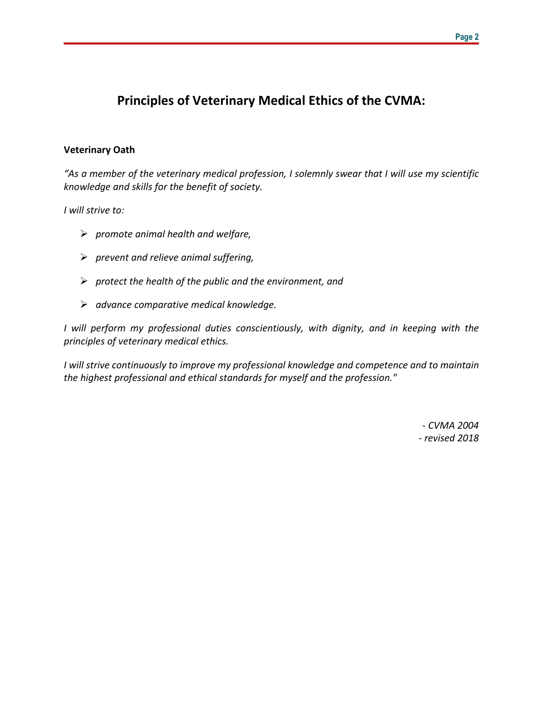## **Principles of Veterinary Medical Ethics of the CVMA:**

#### **Veterinary Oath**

*"As a member of the veterinary medical profession, I solemnly swear that I will use my scientific knowledge and skills for the benefit of society.*

*I will strive to:*

- *promote animal health and welfare,*
- *prevent and relieve animal suffering,*
- *protect the health of the public and the environment, and*
- *advance comparative medical knowledge.*

*I will perform my professional duties conscientiously, with dignity, and in keeping with the principles of veterinary medical ethics.*

*I will strive continuously to improve my professional knowledge and competence and to maintain the highest professional and ethical standards for myself and the profession."*

> *- CVMA 2004 - revised 2018*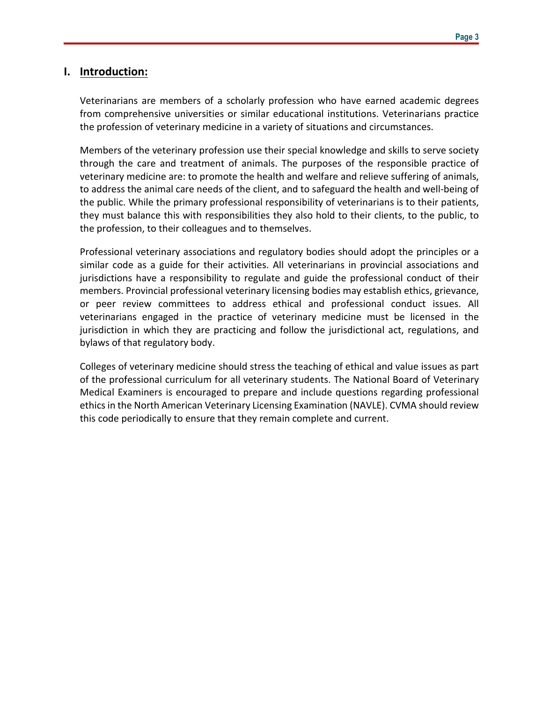#### **I. Introduction:**

Veterinarians are members of a scholarly profession who have earned academic degrees from comprehensive universities or similar educational institutions. Veterinarians practice the profession of veterinary medicine in a variety of situations and circumstances.

Members of the veterinary profession use their special knowledge and skills to serve society through the care and treatment of animals. The purposes of the responsible practice of veterinary medicine are: to promote the health and welfare and relieve suffering of animals, to address the animal care needs of the client, and to safeguard the health and well-being of the public. While the primary professional responsibility of veterinarians is to their patients, they must balance this with responsibilities they also hold to their clients, to the public, to the profession, to their colleagues and to themselves.

Professional veterinary associations and regulatory bodies should adopt the principles or a similar code as a guide for their activities. All veterinarians in provincial associations and jurisdictions have a responsibility to regulate and guide the professional conduct of their members. Provincial professional veterinary licensing bodies may establish ethics, grievance, or peer review committees to address ethical and professional conduct issues. All veterinarians engaged in the practice of veterinary medicine must be licensed in the jurisdiction in which they are practicing and follow the jurisdictional act, regulations, and bylaws of that regulatory body.

Colleges of veterinary medicine should stress the teaching of ethical and value issues as part of the professional curriculum for all veterinary students. The National Board of Veterinary Medical Examiners is encouraged to prepare and include questions regarding professional ethicsin the North American Veterinary Licensing Examination (NAVLE). CVMA should review this code periodically to ensure that they remain complete and current.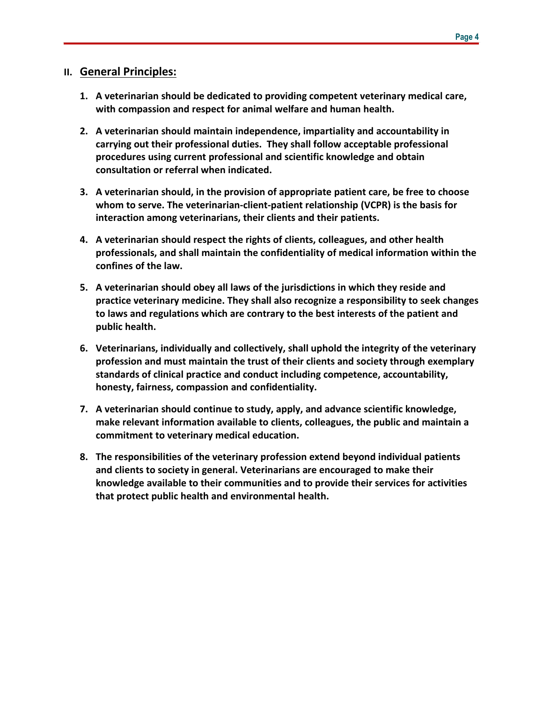#### **II. General Principles:**

- **1. A veterinarian should be dedicated to providing competent veterinary medical care, with compassion and respect for animal welfare and human health.**
- **2. A veterinarian should maintain independence, impartiality and accountability in carrying out their professional duties. They shall follow acceptable professional procedures using current professional and scientific knowledge and obtain consultation or referral when indicated.**
- **3. A veterinarian should, in the provision of appropriate patient care, be free to choose whom to serve. The veterinarian-client-patient relationship (VCPR) is the basis for interaction among veterinarians, their clients and their patients.**
- **4. A veterinarian should respect the rights of clients, colleagues, and other health professionals, and shall maintain the confidentiality of medical information within the confines of the law.**
- **5. A veterinarian should obey all laws of the jurisdictions in which they reside and practice veterinary medicine. They shall also recognize a responsibility to seek changes to laws and regulations which are contrary to the best interests of the patient and public health.**
- **6. Veterinarians, individually and collectively, shall uphold the integrity of the veterinary profession and must maintain the trust of their clients and society through exemplary standards of clinical practice and conduct including competence, accountability, honesty, fairness, compassion and confidentiality.**
- **7. A veterinarian should continue to study, apply, and advance scientific knowledge, make relevant information available to clients, colleagues, the public and maintain a commitment to veterinary medical education.**
- **8. The responsibilities of the veterinary profession extend beyond individual patients and clients to society in general. Veterinarians are encouraged to make their knowledge available to their communities and to provide their services for activities that protect public health and environmental health.**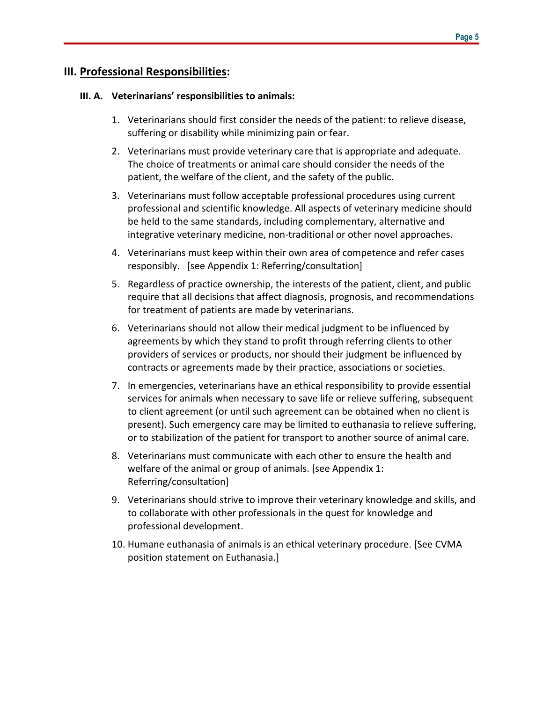## **III. Professional Responsibilities:**

#### **III. A. Veterinarians' responsibilities to animals:**

- 1. Veterinarians should first consider the needs of the patient: to relieve disease, suffering or disability while minimizing pain or fear.
- 2. Veterinarians must provide veterinary care that is appropriate and adequate. The choice of treatments or animal care should consider the needs of the patient, the welfare of the client, and the safety of the public.
- 3. Veterinarians must follow acceptable professional procedures using current professional and scientific knowledge. All aspects of veterinary medicine should be held to the same standards, including complementary, alternative and integrative veterinary medicine, non-traditional or other novel approaches.
- 4. Veterinarians must keep within their own area of competence and refer cases responsibly. [see Appendix 1: Referring/consultation]
- 5. Regardless of practice ownership, the interests of the patient, client, and public require that all decisions that affect diagnosis, prognosis, and recommendations for treatment of patients are made by veterinarians.
- 6. Veterinarians should not allow their medical judgment to be influenced by agreements by which they stand to profit through referring clients to other providers of services or products, nor should their judgment be influenced by contracts or agreements made by their practice, associations or societies.
- 7. In emergencies, veterinarians have an ethical responsibility to provide essential services for animals when necessary to save life or relieve suffering, subsequent to client agreement (or until such agreement can be obtained when no client is present). Such emergency care may be limited to euthanasia to relieve suffering, or to stabilization of the patient for transport to another source of animal care.
- 8. Veterinarians must communicate with each other to ensure the health and welfare of the animal or group of animals. [see Appendix 1: Referring/consultation]
- 9. Veterinarians should strive to improve their veterinary knowledge and skills, and to collaborate with other professionals in the quest for knowledge and professional development.
- 10. Humane euthanasia of animals is an ethical veterinary procedure. [See CVMA position statement on Euthanasia.]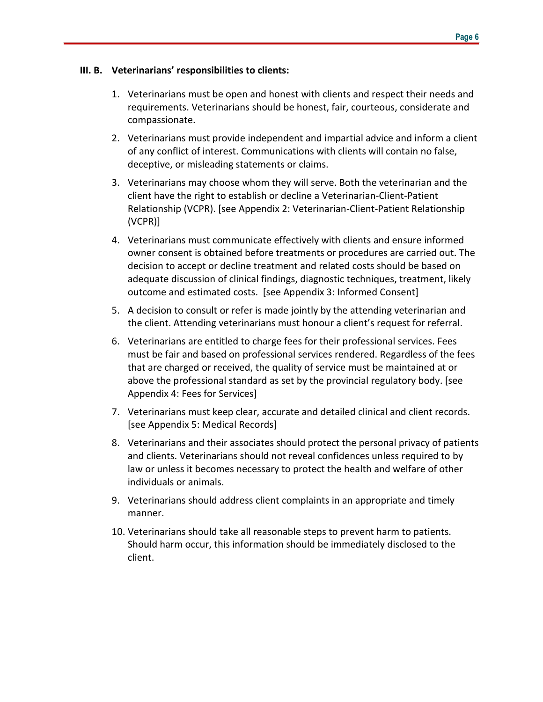#### **III. B. Veterinarians' responsibilities to clients:**

- 1. Veterinarians must be open and honest with clients and respect their needs and requirements. Veterinarians should be honest, fair, courteous, considerate and compassionate.
- 2. Veterinarians must provide independent and impartial advice and inform a client of any conflict of interest. Communications with clients will contain no false, deceptive, or misleading statements or claims.
- 3. Veterinarians may choose whom they will serve. Both the veterinarian and the client have the right to establish or decline a Veterinarian-Client-Patient Relationship (VCPR). [see Appendix 2: Veterinarian-Client-Patient Relationship (VCPR)]
- 4. Veterinarians must communicate effectively with clients and ensure informed owner consent is obtained before treatments or procedures are carried out. The decision to accept or decline treatment and related costs should be based on adequate discussion of clinical findings, diagnostic techniques, treatment, likely outcome and estimated costs. [see Appendix 3: Informed Consent]
- 5. A decision to consult or refer is made jointly by the attending veterinarian and the client. Attending veterinarians must honour a client's request for referral.
- 6. Veterinarians are entitled to charge fees for their professional services. Fees must be fair and based on professional services rendered. Regardless of the fees that are charged or received, the quality of service must be maintained at or above the professional standard as set by the provincial regulatory body. [see Appendix 4: Fees for Services]
- 7. Veterinarians must keep clear, accurate and detailed clinical and client records. [see Appendix 5: Medical Records]
- 8. Veterinarians and their associates should protect the personal privacy of patients and clients. Veterinarians should not reveal confidences unless required to by law or unless it becomes necessary to protect the health and welfare of other individuals or animals.
- 9. Veterinarians should address client complaints in an appropriate and timely manner.
- 10. Veterinarians should take all reasonable steps to prevent harm to patients. Should harm occur, this information should be immediately disclosed to the client.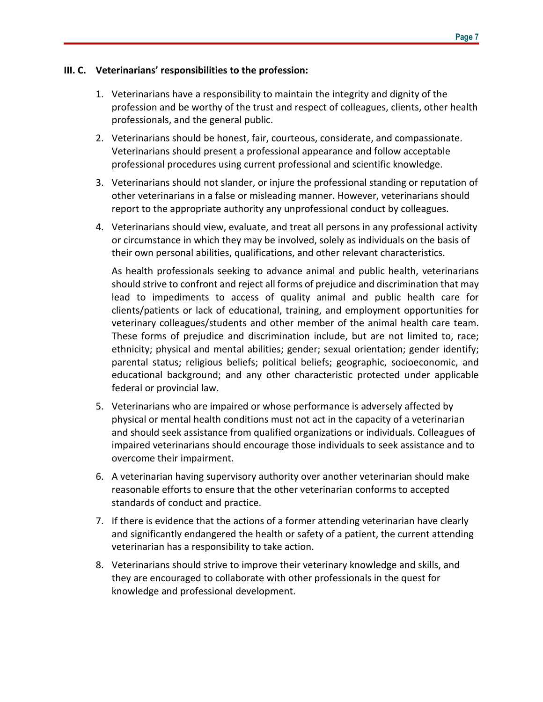#### **III. C. Veterinarians' responsibilities to the profession:**

- 1. Veterinarians have a responsibility to maintain the integrity and dignity of the profession and be worthy of the trust and respect of colleagues, clients, other health professionals, and the general public.
- 2. Veterinarians should be honest, fair, courteous, considerate, and compassionate. Veterinarians should present a professional appearance and follow acceptable professional procedures using current professional and scientific knowledge.
- 3. Veterinarians should not slander, or injure the professional standing or reputation of other veterinarians in a false or misleading manner. However, veterinarians should report to the appropriate authority any unprofessional conduct by colleagues.
- 4. Veterinarians should view, evaluate, and treat all persons in any professional activity or circumstance in which they may be involved, solely as individuals on the basis of their own personal abilities, qualifications, and other relevant characteristics.

As health professionals seeking to advance animal and public health, veterinarians should strive to confront and reject all forms of prejudice and discrimination that may lead to impediments to access of quality animal and public health care for clients/patients or lack of educational, training, and employment opportunities for veterinary colleagues/students and other member of the animal health care team. These forms of prejudice and discrimination include, but are not limited to, race; ethnicity; physical and mental abilities; gender; sexual orientation; gender identify; parental status; religious beliefs; political beliefs; geographic, socioeconomic, and educational background; and any other characteristic protected under applicable federal or provincial law.

- 5. Veterinarians who are impaired or whose performance is adversely affected by physical or mental health conditions must not act in the capacity of a veterinarian and should seek assistance from qualified organizations or individuals. Colleagues of impaired veterinarians should encourage those individuals to seek assistance and to overcome their impairment.
- 6. A veterinarian having supervisory authority over another veterinarian should make reasonable efforts to ensure that the other veterinarian conforms to accepted standards of conduct and practice.
- 7. If there is evidence that the actions of a former attending veterinarian have clearly and significantly endangered the health or safety of a patient, the current attending veterinarian has a responsibility to take action.
- 8. Veterinarians should strive to improve their veterinary knowledge and skills, and they are encouraged to collaborate with other professionals in the quest for knowledge and professional development.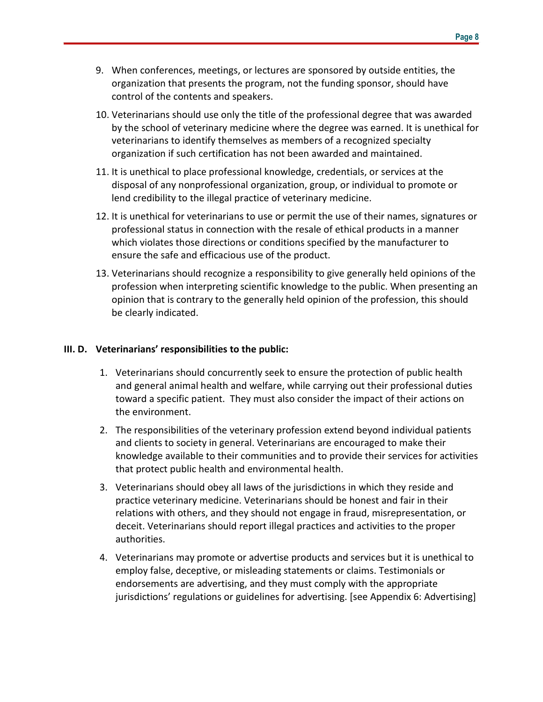- 9. When conferences, meetings, or lectures are sponsored by outside entities, the organization that presents the program, not the funding sponsor, should have control of the contents and speakers.
- 10. Veterinarians should use only the title of the professional degree that was awarded by the school of veterinary medicine where the degree was earned. It is unethical for veterinarians to identify themselves as members of a recognized specialty organization if such certification has not been awarded and maintained.
- 11. It is unethical to place professional knowledge, credentials, or services at the disposal of any nonprofessional organization, group, or individual to promote or lend credibility to the illegal practice of veterinary medicine.
- 12. It is unethical for veterinarians to use or permit the use of their names, signatures or professional status in connection with the resale of ethical products in a manner which violates those directions or conditions specified by the manufacturer to ensure the safe and efficacious use of the product.
- 13. Veterinarians should recognize a responsibility to give generally held opinions of the profession when interpreting scientific knowledge to the public. When presenting an opinion that is contrary to the generally held opinion of the profession, this should be clearly indicated.

#### **III. D. Veterinarians' responsibilities to the public:**

- 1. Veterinarians should concurrently seek to ensure the protection of public health and general animal health and welfare, while carrying out their professional duties toward a specific patient. They must also consider the impact of their actions on the environment.
- 2. The responsibilities of the veterinary profession extend beyond individual patients and clients to society in general. Veterinarians are encouraged to make their knowledge available to their communities and to provide their services for activities that protect public health and environmental health.
- 3. Veterinarians should obey all laws of the jurisdictions in which they reside and practice veterinary medicine. Veterinarians should be honest and fair in their relations with others, and they should not engage in fraud, misrepresentation, or deceit. Veterinarians should report illegal practices and activities to the proper authorities.
- 4. Veterinarians may promote or advertise products and services but it is unethical to employ false, deceptive, or misleading statements or claims. Testimonials or endorsements are advertising, and they must comply with the appropriate jurisdictions' regulations or guidelines for advertising. [see Appendix 6: Advertising]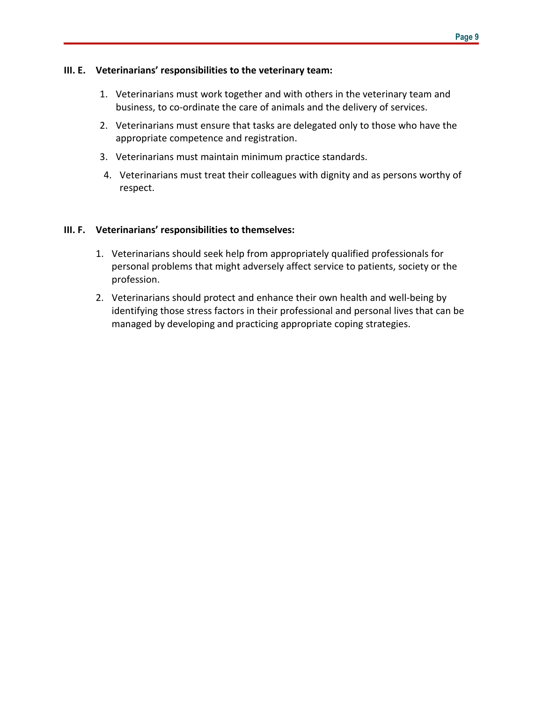#### **III. E. Veterinarians' responsibilities to the veterinary team:**

- 1. Veterinarians must work together and with others in the veterinary team and business, to co-ordinate the care of animals and the delivery of services.
- 2. Veterinarians must ensure that tasks are delegated only to those who have the appropriate competence and registration.
- 3. Veterinarians must maintain minimum practice standards.
- 4. Veterinarians must treat their colleagues with dignity and as persons worthy of respect.

#### **III. F. Veterinarians' responsibilities to themselves:**

- 1. Veterinarians should seek help from appropriately qualified professionals for personal problems that might adversely affect service to patients, society or the profession.
- 2. Veterinarians should protect and enhance their own health and well-being by identifying those stress factors in their professional and personal lives that can be managed by developing and practicing appropriate coping strategies.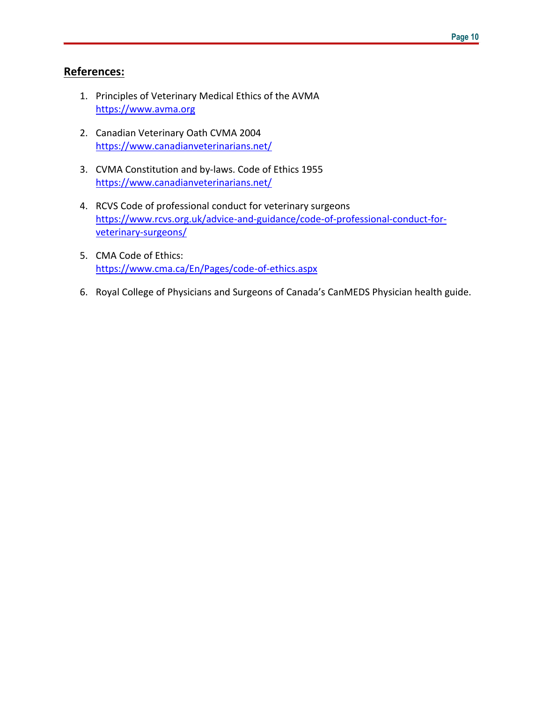## **References:**

- 1. Principles of Veterinary Medical Ethics of the AVMA [https://www.avma.org](https://www.avma.org/)
- 2. Canadian Veterinary Oath CVMA 2004 <https://www.canadianveterinarians.net/>
- 3. CVMA Constitution and by-laws. Code of Ethics 1955 <https://www.canadianveterinarians.net/>
- 4. RCVS Code of professional conduct for veterinary surgeons https://www.rcvs.org.uk/advice-and-guidance/code-of-professional-conduct-forveterinary-surgeons/
- 5. CMA Code of Ethics: <https://www.cma.ca/En/Pages/code-of-ethics.aspx>
- 6. Royal College of Physicians and Surgeons of Canada's CanMEDS Physician health guide.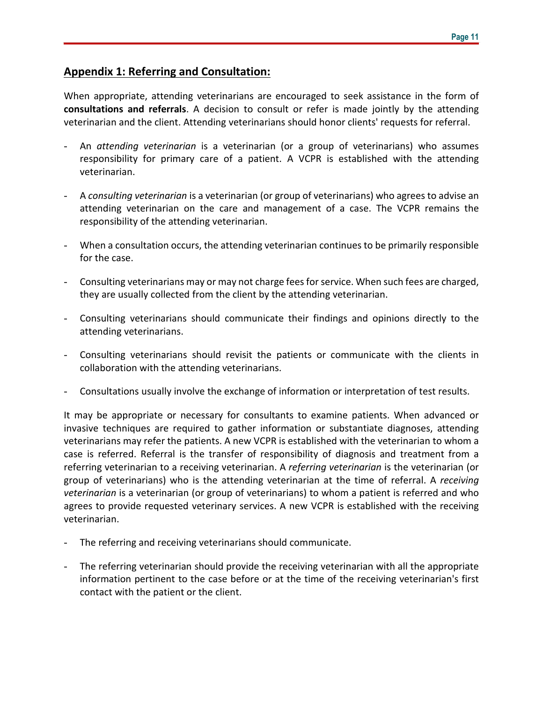## **Appendix 1: Referring and Consultation:**

When appropriate, attending veterinarians are encouraged to seek assistance in the form of **consultations and referrals**. A decision to consult or refer is made jointly by the attending veterinarian and the client. Attending veterinarians should honor clients' requests for referral.

- An *attending veterinarian* is a veterinarian (or a group of veterinarians) who assumes responsibility for primary care of a patient. A VCPR is established with the attending veterinarian.
- A *consulting veterinarian* is a veterinarian (or group of veterinarians) who agrees to advise an attending veterinarian on the care and management of a case. The VCPR remains the responsibility of the attending veterinarian.
- When a consultation occurs, the attending veterinarian continues to be primarily responsible for the case.
- Consulting veterinarians may or may not charge fees for service. When such fees are charged, they are usually collected from the client by the attending veterinarian.
- Consulting veterinarians should communicate their findings and opinions directly to the attending veterinarians.
- Consulting veterinarians should revisit the patients or communicate with the clients in collaboration with the attending veterinarians.
- Consultations usually involve the exchange of information or interpretation of test results.

It may be appropriate or necessary for consultants to examine patients. When advanced or invasive techniques are required to gather information or substantiate diagnoses, attending veterinarians may refer the patients. A new VCPR is established with the veterinarian to whom a case is referred. Referral is the transfer of responsibility of diagnosis and treatment from a referring veterinarian to a receiving veterinarian. A *referring veterinarian* is the veterinarian (or group of veterinarians) who is the attending veterinarian at the time of referral. A *receiving veterinarian* is a veterinarian (or group of veterinarians) to whom a patient is referred and who agrees to provide requested veterinary services. A new VCPR is established with the receiving veterinarian.

- The referring and receiving veterinarians should communicate.
- The referring veterinarian should provide the receiving veterinarian with all the appropriate information pertinent to the case before or at the time of the receiving veterinarian's first contact with the patient or the client.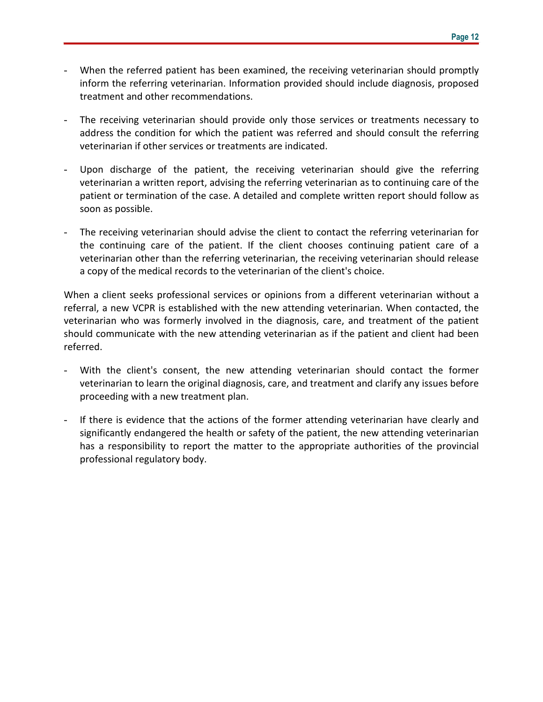- When the referred patient has been examined, the receiving veterinarian should promptly inform the referring veterinarian. Information provided should include diagnosis, proposed treatment and other recommendations.
- The receiving veterinarian should provide only those services or treatments necessary to address the condition for which the patient was referred and should consult the referring veterinarian if other services or treatments are indicated.
- Upon discharge of the patient, the receiving veterinarian should give the referring veterinarian a written report, advising the referring veterinarian as to continuing care of the patient or termination of the case. A detailed and complete written report should follow as soon as possible.
- The receiving veterinarian should advise the client to contact the referring veterinarian for the continuing care of the patient. If the client chooses continuing patient care of a veterinarian other than the referring veterinarian, the receiving veterinarian should release a copy of the medical records to the veterinarian of the client's choice.

When a client seeks professional services or opinions from a different veterinarian without a referral, a new VCPR is established with the new attending veterinarian. When contacted, the veterinarian who was formerly involved in the diagnosis, care, and treatment of the patient should communicate with the new attending veterinarian as if the patient and client had been referred.

- With the client's consent, the new attending veterinarian should contact the former veterinarian to learn the original diagnosis, care, and treatment and clarify any issues before proceeding with a new treatment plan.
- If there is evidence that the actions of the former attending veterinarian have clearly and significantly endangered the health or safety of the patient, the new attending veterinarian has a responsibility to report the matter to the appropriate authorities of the provincial professional regulatory body.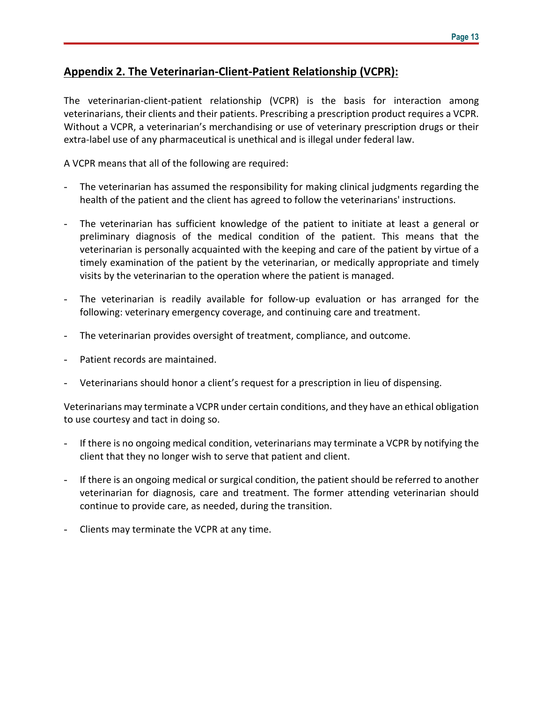## **Appendix 2. The Veterinarian-Client-Patient Relationship (VCPR):**

The veterinarian-client-patient relationship (VCPR) is the basis for interaction among veterinarians, their clients and their patients. Prescribing a prescription product requires a VCPR. Without a VCPR, a veterinarian's merchandising or use of veterinary prescription drugs or their extra-label use of any pharmaceutical is unethical and is illegal under federal law.

A VCPR means that all of the following are required:

- The veterinarian has assumed the responsibility for making clinical judgments regarding the health of the patient and the client has agreed to follow the veterinarians' instructions.
- The veterinarian has sufficient knowledge of the patient to initiate at least a general or preliminary diagnosis of the medical condition of the patient. This means that the veterinarian is personally acquainted with the keeping and care of the patient by virtue of a timely examination of the patient by the veterinarian, or medically appropriate and timely visits by the veterinarian to the operation where the patient is managed.
- The veterinarian is readily available for follow-up evaluation or has arranged for the following: veterinary emergency coverage, and continuing care and treatment.
- The veterinarian provides oversight of treatment, compliance, and outcome.
- Patient records are maintained.
- Veterinarians should honor a client's request for a prescription in lieu of dispensing.

Veterinarians may terminate a VCPR under certain conditions, and they have an ethical obligation to use courtesy and tact in doing so.

- If there is no ongoing medical condition, veterinarians may terminate a VCPR by notifying the client that they no longer wish to serve that patient and client.
- If there is an ongoing medical or surgical condition, the patient should be referred to another veterinarian for diagnosis, care and treatment. The former attending veterinarian should continue to provide care, as needed, during the transition.
- Clients may terminate the VCPR at any time.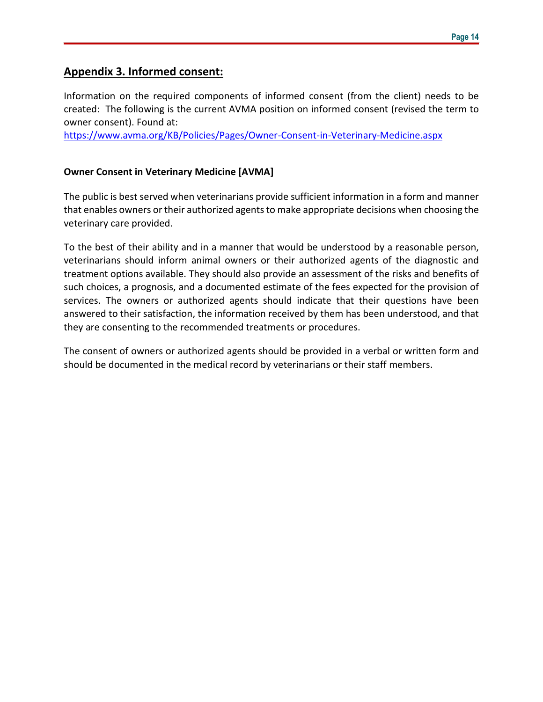## **Appendix 3. Informed consent:**

Information on the required components of informed consent (from the client) needs to be created: The following is the current AVMA position on informed consent (revised the term to owner consent). Found at:

<https://www.avma.org/KB/Policies/Pages/Owner-Consent-in-Veterinary-Medicine.aspx>

#### **Owner Consent in Veterinary Medicine [AVMA]**

The public is best served when veterinarians provide sufficient information in a form and manner that enables owners or their authorized agents to make appropriate decisions when choosing the veterinary care provided.

To the best of their ability and in a manner that would be understood by a reasonable person, veterinarians should inform animal owners or their authorized agents of the diagnostic and treatment options available. They should also provide an assessment of the risks and benefits of such choices, a prognosis, and a documented estimate of the fees expected for the provision of services. The owners or authorized agents should indicate that their questions have been answered to their satisfaction, the information received by them has been understood, and that they are consenting to the recommended treatments or procedures.

The consent of owners or authorized agents should be provided in a verbal or written form and should be documented in the medical record by veterinarians or their staff members.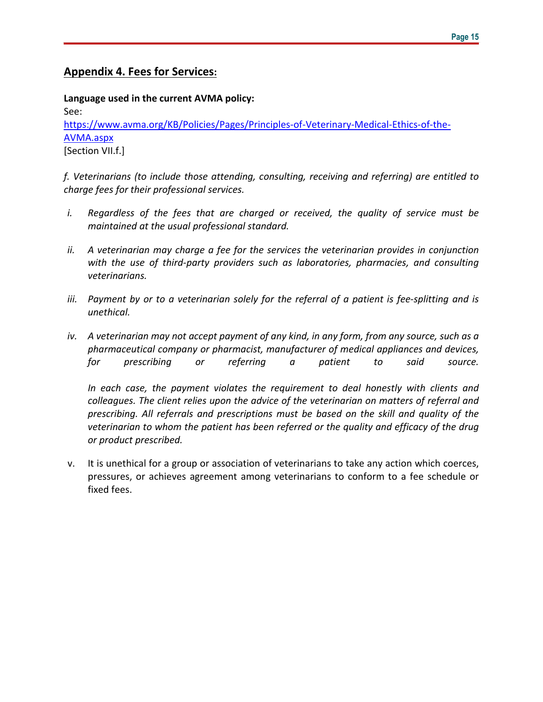## **Appendix 4. Fees for Services:**

**Language used in the current AVMA policy:** See: [https://www.avma.org/KB/Policies/Pages/Principles-of-Veterinary-Medical-Ethics-of-the-](https://www.avma.org/KB/Policies/Pages/Principles-of-Veterinary-Medical-Ethics-of-the-AVMA.aspx)[AVMA.aspx](https://www.avma.org/KB/Policies/Pages/Principles-of-Veterinary-Medical-Ethics-of-the-AVMA.aspx) [Section VII.f.]

*f. Veterinarians (to include those attending, consulting, receiving and referring) are entitled to charge fees for their professional services.*

- *i. Regardless of the fees that are charged or received, the quality of service must be maintained at the usual professional standard.*
- *ii. A veterinarian may charge a fee for the services the veterinarian provides in conjunction with the use of third-party providers such as laboratories, pharmacies, and consulting veterinarians.*
- *iii. Payment by or to a veterinarian solely for the referral of a patient is fee-splitting and is unethical.*
- iv. A veterinarian may not accept payment of any kind, in any form, from any source, such as a *pharmaceutical company or pharmacist, manufacturer of medical appliances and devices, for prescribing or referring a patient to said source.*

*In each case, the payment violates the requirement to deal honestly with clients and colleagues. The client relies upon the advice of the veterinarian on matters of referral and prescribing. All referrals and prescriptions must be based on the skill and quality of the veterinarian to whom the patient has been referred or the quality and efficacy of the drug or product prescribed.*

v. It is unethical for a group or association of veterinarians to take any action which coerces, pressures, or achieves agreement among veterinarians to conform to a fee schedule or fixed fees.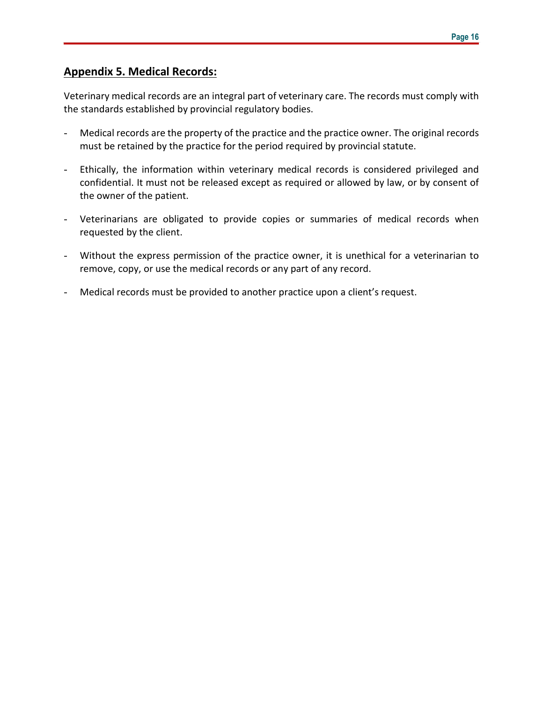## **Appendix 5. Medical Records:**

Veterinary medical records are an integral part of veterinary care. The records must comply with the standards established by provincial regulatory bodies.

- Medical records are the property of the practice and the practice owner. The original records must be retained by the practice for the period required by provincial statute.
- Ethically, the information within veterinary medical records is considered privileged and confidential. It must not be released except as required or allowed by law, or by consent of the owner of the patient.
- Veterinarians are obligated to provide copies or summaries of medical records when requested by the client.
- Without the express permission of the practice owner, it is unethical for a veterinarian to remove, copy, or use the medical records or any part of any record.
- Medical records must be provided to another practice upon a client's request.